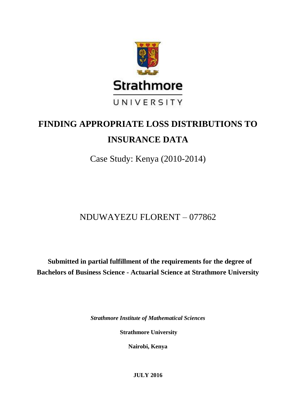

# **FINDING APPROPRIATE LOSS DISTRIBUTIONS TO INSURANCE DATA**

Case Study: Kenya (2010-2014)

# NDUWAYEZU FLORENT – 077862

**Submitted in partial fulfillment of the requirements for the degree of Bachelors of Business Science - Actuarial Science at Strathmore University**

*Strathmore Institute of Mathematical Sciences*

**Strathmore University**

**Nairobi, Kenya**

**JULY 2016**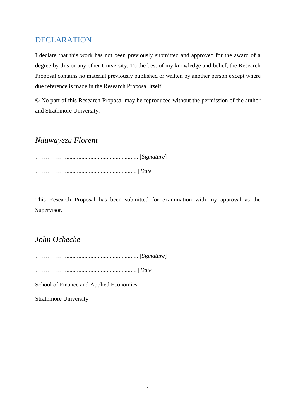## <span id="page-1-0"></span>DECLARATION

I declare that this work has not been previously submitted and approved for the award of a degree by this or any other University. To the best of my knowledge and belief, the Research Proposal contains no material previously published or written by another person except where due reference is made in the Research Proposal itself.

© No part of this Research Proposal may be reproduced without the permission of the author and Strathmore University.

## *Nduwayezu Florent*

……………................................................. [*Signature*] ……………................................................ [*Date*]

This Research Proposal has been submitted for examination with my approval as the Supervisor.

## *John Ocheche*

……………................................................. [*Signature*]

……………................................................ [*Date*]

School of Finance and Applied Economics

Strathmore University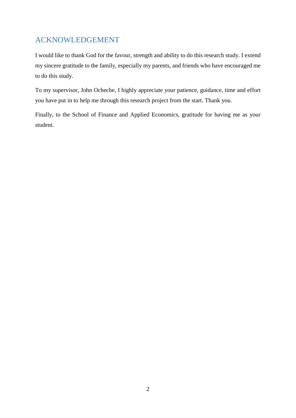## <span id="page-2-0"></span>ACKNOWLEDGEMENT

I would like to thank God for the favour, strength and ability to do this research study. I extend my sincere gratitude to the family, especially my parents, and friends who have encouraged me to do this study.

To my supervisor, John Ocheche, I highly appreciate your patience, guidance, time and effort you have put in to help me through this research project from the start. Thank you.

Finally, to the School of Finance and Applied Economics, gratitude for having me as your student.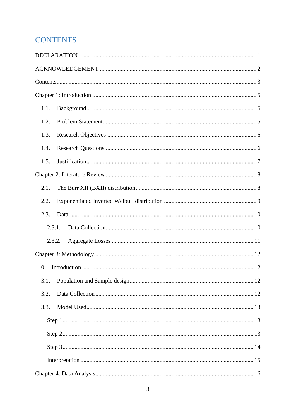## <span id="page-3-0"></span>**CONTENTS**

| 1.1.       |
|------------|
| 1.2.       |
| 1.3.       |
| 1.4.       |
| 1.5.       |
|            |
| 2.1.       |
| 2.2.       |
| 2.3.       |
| 2.3.1.     |
| 2.3.2.     |
|            |
| $\Omega$ . |
| 3.1.       |
| 3.2.       |
| 3.3.       |
|            |
|            |
|            |
|            |
|            |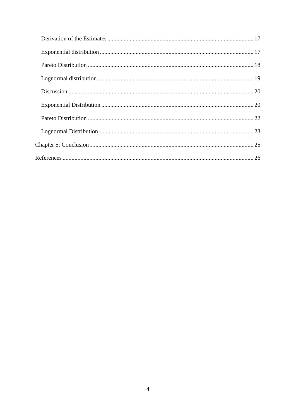<span id="page-4-0"></span>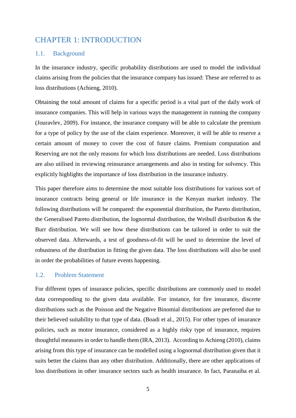## CHAPTER 1: INTRODUCTION

## <span id="page-5-0"></span>1.1. Background

In the insurance industry, specific probability distributions are used to model the individual claims arising from the policies that the insurance company has issued: These are referred to as loss distributions (Achieng, 2010).

Obtaining the total amount of claims for a specific period is a vital part of the daily work of insurance companies. This will help in various ways the management in running the company (Jouravlev, 2009). For instance, the insurance company will be able to calculate the premium for a type of policy by the use of the claim experience. Moreover, it will be able to reserve a certain amount of money to cover the cost of future claims. Premium computation and Reserving are not the only reasons for which loss distributions are needed. Loss distributions are also utilised in reviewing reinsurance arrangements and also in testing for solvency. This explicitly highlights the importance of loss distribution in the insurance industry.

This paper therefore aims to determine the most suitable loss distributions for various sort of insurance contracts being general or life insurance in the Kenyan market industry. The following distributions will be compared: the exponential distribution, the Pareto distribution, the Generalised Pareto distribution, the lognormal distribution, the Weibull distribution & the Burr distribution. We will see how these distributions can be tailored in order to suit the observed data. Afterwards, a test of goodness-of-fit will be used to determine the level of robustness of the distribution in fitting the given data. The loss distributions will also be used in order the probabilities of future events happening.

## <span id="page-5-1"></span>1.2. Problem Statement

For different types of insurance policies, specific distributions are commonly used to model data corresponding to the given data available. For instance, for fire insurance, discrete distributions such as the Poisson and the Negative Binomial distributions are preferred due to their believed suitability to that type of data. (Boadi et al., 2015). For other types of insurance policies, such as motor insurance, considered as a highly risky type of insurance, requires thoughtful measures in order to handle them (IRA, 2013). According to Achieng (2010), claims arising from this type of insurance can be modelled using a lognormal distribution given that it suits better the claims than any other distribution. Additionally, there are other applications of loss distributions in other insurance sectors such as health insurance. In fact, Paranaiba et al.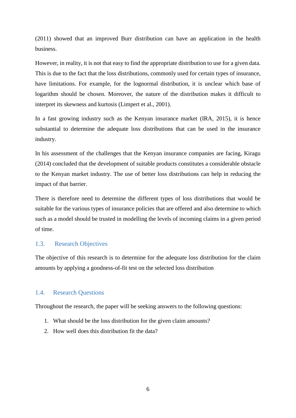(2011) showed that an improved Burr distribution can have an application in the health business.

However, in reality, it is not that easy to find the appropriate distribution to use for a given data. This is due to the fact that the loss distributions, commonly used for certain types of insurance, have limitations. For example, for the lognormal distribution, it is unclear which base of logarithm should be chosen. Moreover, the nature of the distribution makes it difficult to interpret its skewness and kurtosis (Limpert et al., 2001).

In a fast growing industry such as the Kenyan insurance market (IRA, 2015), it is hence substantial to determine the adequate loss distributions that can be used in the insurance industry.

In his assessment of the challenges that the Kenyan insurance companies are facing, Kiragu (2014) concluded that the development of suitable products constitutes a considerable obstacle to the Kenyan market industry. The use of better loss distributions can help in reducing the impact of that barrier.

There is therefore need to determine the different types of loss distributions that would be suitable for the various types of insurance policies that are offered and also determine to which such as a model should be trusted in modelling the levels of incoming claims in a given period of time.

#### <span id="page-6-0"></span>1.3. Research Objectives

The objective of this research is to determine for the adequate loss distribution for the claim amounts by applying a goodness-of-fit test on the selected loss distribution

#### <span id="page-6-1"></span>1.4. Research Questions

Throughout the research, the paper will be seeking answers to the following questions:

- 1. What should be the loss distribution for the given claim amounts?
- 2. How well does this distribution fit the data?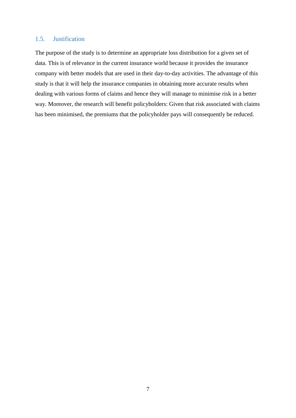## <span id="page-7-0"></span>1.5. Justification

The purpose of the study is to determine an appropriate loss distribution for a given set of data. This is of relevance in the current insurance world because it provides the insurance company with better models that are used in their day-to-day activities. The advantage of this study is that it will help the insurance companies in obtaining more accurate results when dealing with various forms of claims and hence they will manage to minimise risk in a better way. Moreover, the research will benefit policyholders: Given that risk associated with claims has been minimised, the premiums that the policyholder pays will consequently be reduced.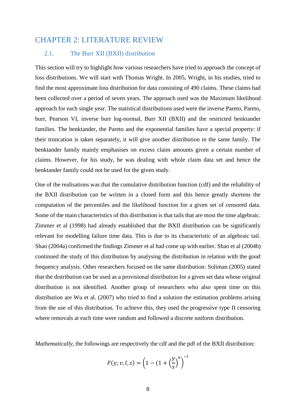## <span id="page-8-0"></span>CHAPTER 2: LITERATURE REVIEW

## <span id="page-8-1"></span>2.1. The Burr XII (BXII) distribution

This section will try to highlight how various researchers have tried to approach the concept of loss distributions. We will start with Thomas Wright. In 2005, Wright, in his studies, tried to find the most approximate loss distribution for data consisting of 490 claims. These claims had been collected over a period of seven years. The approach used was the Maximum likelihood approach for each single year. The statistical distributions used were the inverse Pareto, Pareto, burr, Pearson VI, inverse burr log-normal, Burr XII (BXII) and the restricted benktander families. The benktander, the Pareto and the exponential families have a special property: if their truncation is taken separately, it will give another distribution in the same family. The benktander family mainly emphasises on excess claim amounts given a certain number of claims. However, for his study, he was dealing with whole claim data set and hence the benktander family could not be used for the given study.

One of the realisations was that the cumulative distribution function (cdf) and the reliability of the BXII distribution can be written in a closed form and this hence greatly shortens the computation of the percentiles and the likelihood function for a given set of censored data. Some of the main characteristics of this distribution is that tails that are most the time algebraic. Zimmer et al (1998) had already established that the BXII distribution can be significantly relevant for modelling failure time data. This is due to its characteristic of an algebraic tail. Shao (2004a) confirmed the findings Zimmer et al had come up with earlier. Shao et al (2004b) continued the study of this distribution by analysing the distribution in relation with the good frequency analysis. Other researchers focused on the same distribution: Soliman (2005) stated that the distribution can be used as a provisional distribution for a given set data whose original distribution is not identified. Another group of researchers who also spent time on this distribution are Wu et al. (2007) who tried to find a solution the estimation problems arising from the use of this distribution. To achieve this, they used the progressive type II censoring where removals at each time were random and followed a discrete uniform distribution.

*Mathematically*, the followings are respectively the cdf and the pdf of the BXII distribution:

$$
F(y; v, l, s) = \left(1 - (1 + \left(\frac{y}{s}\right)^{v})\right)^{-l}
$$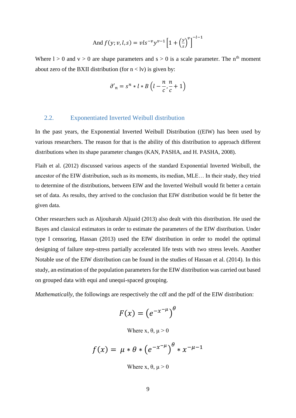And 
$$
f(y; v, l, s) = vls^{-v}y^{v-1} \left[1 + \left(\frac{y}{s}\right)^{v}\right]^{-l-1}
$$

Where  $l > 0$  and  $v > 0$  are shape parameters and  $s > 0$  is a scale parameter. The n<sup>th</sup> moment about zero of the BXII distribution (for  $n <$ lv) is given by:

$$
\partial'_{n} = s^{n} * l * B\left(l - \frac{n}{c}, \frac{n}{c} + 1\right)
$$

#### <span id="page-9-0"></span>2.2. Exponentiated Inverted Weibull distribution

In the past years, the Exponential Inverted Weibull Distribution ((EIW) has been used by various researchers. The reason for that is the ability of this distribution to approach different distributions when its shape parameter changes (KAN, PASHA, and H. PASHA, 2008).

Flaih et al. (2012) discussed various aspects of the standard Exponential Inverted Weibull, the ancestor of the EIW distribution, such as its moments, its median, MLE… In their study, they tried to determine of the distributions, between EIW and the Inverted Weibull would fit better a certain set of data. As results, they arrived to the conclusion that EIW distribution would be fit better the given data.

Other researchers such as Aljouharah Aljuaid (2013) also dealt with this distribution. He used the Bayes and classical estimators in order to estimate the parameters of the EIW distribution. Under type I censoring, Hassan (2013) used the EIW distribution in order to model the optimal designing of failure step-stress partially accelerated life tests with two stress levels. Another Notable use of the EIW distribution can be found in the studies of Hassan et al. (2014). In this study, an estimation of the population parameters for the EIW distribution was carried out based on grouped data with equi and unequi-spaced grouping.

*Mathematically*, the followings are respectively the cdf and the pdf of the EIW distribution:

$$
F(x) = \left(e^{-x^{-\mu}}\right)^{\theta}
$$

Where x,  $θ$ ,  $μ > 0$ 

$$
f(x) = \mu * \theta * (e^{-x^{-\mu}})^{\theta} * x^{-\mu-1}
$$

Where x,  $\theta$ ,  $\mu > 0$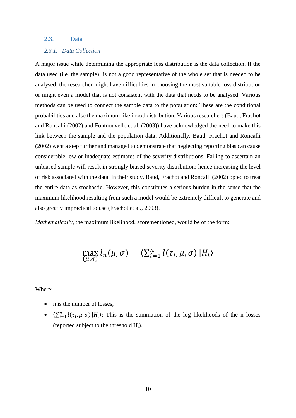## <span id="page-10-0"></span>2.3. Data

#### <span id="page-10-1"></span>*2.3.1. Data Collection*

A major issue while determining the appropriate loss distribution is the data collection. If the data used (i.e. the sample) is not a good representative of the whole set that is needed to be analysed, the researcher might have difficulties in choosing the most suitable loss distribution or might even a model that is not consistent with the data that needs to be analysed. Various methods can be used to connect the sample data to the population: These are the conditional probabilities and also the maximum likelihood distribution. Various researchers (Baud, Frachot and Roncalli (2002) and Fontnouvelle et al. (2003)) have acknowledged the need to make this link between the sample and the population data. Additionally, Baud, Frachot and Roncalli (2002) went a step further and managed to demonstrate that neglecting reporting bias can cause considerable low or inadequate estimates of the severity distributions. Failing to ascertain an unbiased sample will result in strongly biased severity distribution; hence increasing the level of risk associated with the data. In their study, Baud, Frachot and Roncalli (2002) opted to treat the entire data as stochastic. However, this constitutes a serious burden in the sense that the maximum likelihood resulting from such a model would be extremely difficult to generate and also greatly impractical to use (Frachot et al., 2003).

*Mathematically*, the maximum likelihood, aforementioned, would be of the form:

$$
\max_{(\mu,\sigma)}l_n(\mu,\sigma)=\langle \sum_{i=1}^nl(\tau_i,\mu,\sigma)\,|H_i\rangle
$$

Where:

- n is the number of losses:
- $\langle \sum_{i=1}^n l(\tau_i, \mu, \sigma) | H_i \rangle$ : This is the summation of the log likelihoods of the n losses (reported subject to the threshold  $H_i$ ).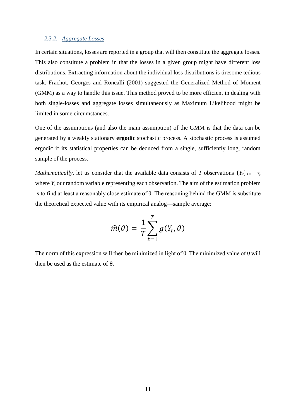#### <span id="page-11-0"></span>*2.3.2. Aggregate Losses*

In certain situations, losses are reported in a group that will then constitute the aggregate losses. This also constitute a problem in that the losses in a given group might have different loss distributions. Extracting information about the individual loss distributions is tiresome tedious task. Frachot, Georges and Roncalli (2001) suggested the Generalized Method of Moment (GMM) as a way to handle this issue. This method proved to be more efficient in dealing with both single-losses and aggregate losses simultaneously as Maximum Likelihood might be limited in some circumstances.

One of the assumptions (and also the main assumption) of the GMM is that the data can be generated by a weakly stationary **ergodic** stochastic process. A stochastic process is assumed ergodic if its statistical properties can be deduced from a single, sufficiently long, random sample of the process.

*Mathematically*, let us consider that the available data consists of *T* observations  ${Y_t}_{t=1...T}$ , where  $Y_t$  our random variable representing each observation. The aim of the estimation problem is to find at least a reasonably close estimate of θ. The reasoning behind the GMM is substitute the theoretical expected value with its empirical analog—sample average:

$$
\widehat{m}(\theta) = \frac{1}{T} \sum_{t=1}^{T} g(Y_t, \theta)
$$

The norm of this expression will then be minimized in light of  $\theta$ . The minimized value of  $\theta$  will then be used as the estimate of θ.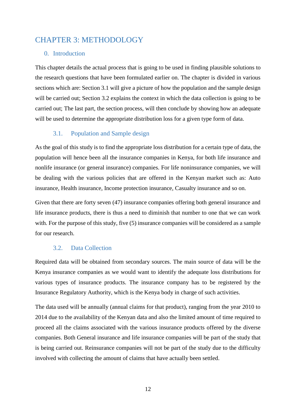## <span id="page-12-0"></span>CHAPTER 3: METHODOLOGY

## <span id="page-12-1"></span>0. Introduction

This chapter details the actual process that is going to be used in finding plausible solutions to the research questions that have been formulated earlier on. The chapter is divided in various sections which are: Section 3.1 will give a picture of how the population and the sample design will be carried out; Section 3.2 explains the context in which the data collection is going to be carried out; The last part, the section process, will then conclude by showing how an adequate will be used to determine the appropriate distribution loss for a given type form of data.

## 3.1. Population and Sample design

<span id="page-12-2"></span>As the goal of this study is to find the appropriate loss distribution for a certain type of data, the population will hence been all the insurance companies in Kenya, for both life insurance and nonlife insurance (or general insurance) companies. For life noninsurance companies, we will be dealing with the various policies that are offered in the Kenyan market such as: Auto insurance, Health insurance, Income protection insurance, Casualty insurance and so on.

Given that there are forty seven (47) insurance companies offering both general insurance and life insurance products, there is thus a need to diminish that number to one that we can work with. For the purpose of this study, five (5) insurance companies will be considered as a sample for our research.

## 3.2. Data Collection

<span id="page-12-3"></span>Required data will be obtained from secondary sources. The main source of data will be the Kenya insurance companies as we would want to identify the adequate loss distributions for various types of insurance products. The insurance company has to be registered by the Insurance Regulatory Authority, which is the Kenya body in charge of such activities.

The data used will be annually (annual claims for that product), ranging from the year 2010 to 2014 due to the availability of the Kenyan data and also the limited amount of time required to proceed all the claims associated with the various insurance products offered by the diverse companies. Both General insurance and life insurance companies will be part of the study that is being carried out. Reinsurance companies will not be part of the study due to the difficulty involved with collecting the amount of claims that have actually been settled.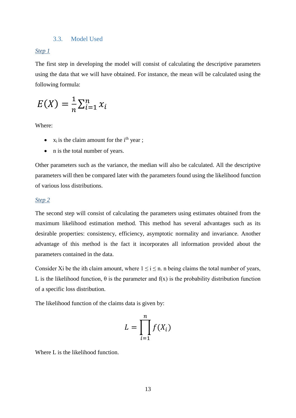### 3.3. Model Used

### <span id="page-13-1"></span><span id="page-13-0"></span>*Step 1*

The first step in developing the model will consist of calculating the descriptive parameters using the data that we will have obtained. For instance, the mean will be calculated using the following formula:

$$
E(X) = \frac{1}{n} \sum_{i=1}^{n} x_i
$$

Where:

- $\bullet$  x<sub>i</sub> is the claim amount for the i<sup>th</sup> year;
- n is the total number of years.

Other parameters such as the variance, the median will also be calculated. All the descriptive parameters will then be compared later with the parameters found using the likelihood function of various loss distributions.

### <span id="page-13-2"></span>*Step 2*

The second step will consist of calculating the parameters using estimates obtained from the maximum likelihood estimation method. This method has several advantages such as its desirable properties: consistency, efficiency, asymptotic normality and invariance. Another advantage of this method is the fact it incorporates all information provided about the parameters contained in the data.

Consider Xi be the ith claim amount, where  $1 \le i \le n$ . n being claims the total number of years, L is the likelihood function,  $\theta$  is the parameter and  $f(x)$  is the probability distribution function of a specific loss distribution.

The likelihood function of the claims data is given by:

$$
L = \prod_{i=1}^{n} f(X_i)
$$

Where L is the likelihood function.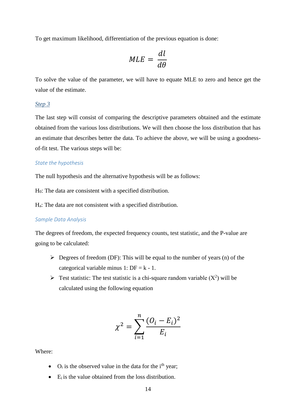To get maximum likelihood, differentiation of the previous equation is done:

$$
MLE = \frac{dl}{d\theta}
$$

To solve the value of the parameter, we will have to equate MLE to zero and hence get the value of the estimate.

#### <span id="page-14-0"></span>*Step 3*

The last step will consist of comparing the descriptive parameters obtained and the estimate obtained from the various loss distributions. We will then choose the loss distribution that has an estimate that describes better the data. To achieve the above, we will be using a goodnessof-fit test. The various steps will be:

#### *State the hypothesis*

The null hypothesis and the alternative hypothesis will be as follows:

H0: The data are consistent with a specified distribution.

Ha: The data are not consistent with a specified distribution.

### *Sample Data Analysis*

The degrees of freedom, the expected frequency counts, test statistic, and the P-value are going to be calculated:

- $\triangleright$  Degrees of freedom (DF): This will be equal to the number of years (n) of the categorical variable minus 1:  $DF = k - 1$ .
- Fest statistic: The test statistic is a chi-square random variable  $(X^2)$  will be calculated using the following equation

$$
\chi^2 = \sum_{i=1}^n \frac{(O_i - E_i)^2}{E_i}
$$

Where:

- $\bullet$  O<sub>i</sub> is the observed value in the data for the i<sup>th</sup> year;
- $\bullet$  E<sub>i</sub> is the value obtained from the loss distribution.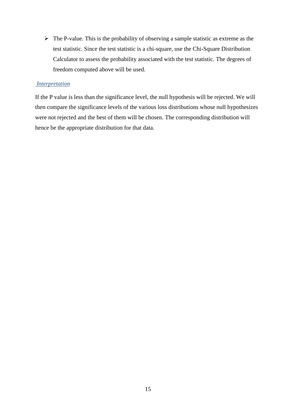$\triangleright$  The P-value. This is the probability of observing a sample statistic as extreme as the test statistic. Since the test statistic is a chi-square, use the Chi-Square Distribution Calculator to assess the probability associated with the test statistic. The degrees of freedom computed above will be used.

## <span id="page-15-0"></span>*Interpretation*

If the P value is less than the significance level, the null hypothesis will be rejected. We will then compare the significance levels of the various loss distributions whose null hypothesizes were not rejected and the best of them will be chosen. The corresponding distribution will hence be the appropriate distribution for that data.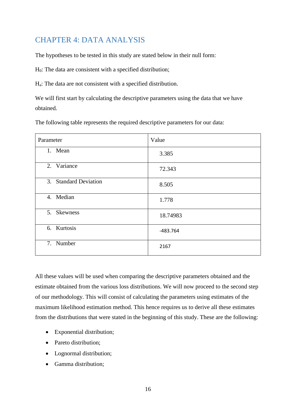## <span id="page-16-0"></span>CHAPTER 4: DATA ANALYSIS

The hypotheses to be tested in this study are stated below in their null form:

H0: The data are consistent with a specified distribution;

Ha: The data are not consistent with a specified distribution.

We will first start by calculating the descriptive parameters using the data that we have obtained.

The following table represents the required descriptive parameters for our data:

| Parameter             | Value      |
|-----------------------|------------|
| 1. Mean               | 3.385      |
| 2. Variance           | 72.343     |
| 3. Standard Deviation | 8.505      |
| 4. Median             | 1.778      |
| 5. Skewness           | 18.74983   |
| 6. Kurtosis           | $-483.764$ |
| 7. Number             | 2167       |

All these values will be used when comparing the descriptive parameters obtained and the estimate obtained from the various loss distributions. We will now proceed to the second step of our methodology. This will consist of calculating the parameters using estimates of the maximum likelihood estimation method. This hence requires us to derive all these estimates from the distributions that were stated in the beginning of this study. These are the following:

- Exponential distribution;
- Pareto distribution;
- Lognormal distribution;
- Gamma distribution;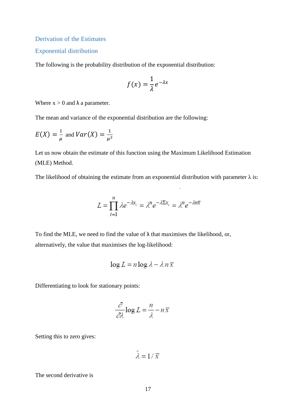<span id="page-17-0"></span>Derivation of the Estimates

### <span id="page-17-1"></span>Exponential distribution

The following is the probability distribution of the exponential distribution:

$$
f(x) = \frac{1}{\lambda} e^{-\lambda x}
$$

Where  $x > 0$  and  $\lambda$  a parameter.

The mean and variance of the exponential distribution are the following:

$$
E(X) = \frac{1}{\mu} \text{ and } Var(X) = \frac{1}{\mu^2}
$$

Let us now obtain the estimate of this function using the Maximum Likelihood Estimation (MLE) Method.

The likelihood of obtaining the estimate from an exponential distribution with parameter  $\lambda$  is:

$$
L = \prod_{i=1}^{n} \lambda e^{-\lambda x_i} = \lambda^n e^{-\lambda \Sigma x_i} = \lambda^n e^{-\lambda n \overline{x}}
$$

To find the MLE, we need to find the value of  $\lambda$  that maximises the likelihood, or, alternatively, the value that maximises the log-likelihood:

$$
\log L = n \log \lambda - \lambda n \overline{x}
$$

Differentiating to look for stationary points:

$$
\frac{\partial}{\partial \lambda} \log L = \frac{n}{\lambda} - n\,\overline{x}
$$

Setting this to zero gives:

$$
\hat{\lambda} = 1/\overline{x}
$$

The second derivative is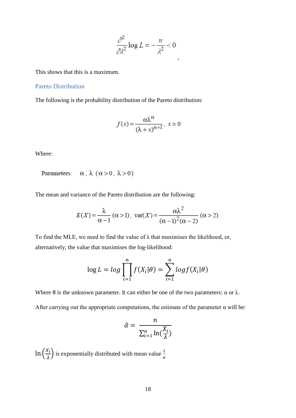$$
\frac{\partial^2}{\partial \lambda^2} \log L = -\frac{n}{\lambda^2} < 0
$$

,

This shows that this is a maximum.

### <span id="page-18-0"></span>Pareto Distribution

The following is the probability distribution of the Pareto distribution:

$$
f(x) = \frac{\alpha \lambda^{\alpha}}{(\lambda + x)^{\alpha + 1}}, \ x > 0
$$

Where:

## Parameters:  $\alpha$ ,  $\lambda$  ( $\alpha$  > 0,  $\lambda$  > 0)

The mean and variance of the Pareto distribution are the following:

$$
E(X) = \frac{\lambda}{\alpha - 1} (\alpha > 1), \text{ var}(X) = \frac{\alpha \lambda^2}{(\alpha - 1)^2 (\alpha - 2)} (\alpha > 2)
$$

To find the MLE, we need to find the value of  $\lambda$  that maximises the likelihood, or, alternatively, the value that maximises the log-likelihood:

$$
\log L = \log \prod_{i=1}^{n} f(X_i | \theta) = \sum_{i=1}^{n} \log f(X_i | \theta)
$$

Where  $\theta$  is the unknown parameter. It can either be one of the two parameters:  $\alpha$  or  $\lambda$ .

After carrying out the appropriate computations, the estimate of the parameter  $\alpha$  will be:

$$
\hat{\alpha} = \frac{n}{\sum_{i=1}^{n} \ln(\frac{X_i}{\lambda})}
$$

 $\ln\left(\frac{X_i}{\lambda}\right)$  $\left(\frac{x_i}{\lambda}\right)$  is exponentially distributed with mean value  $\frac{1}{\alpha}$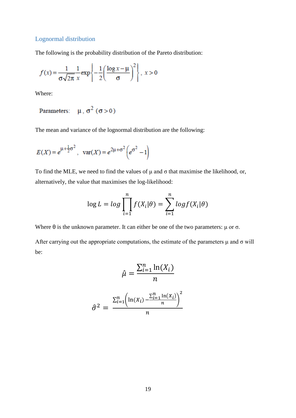## <span id="page-19-0"></span>Lognormal distribution

The following is the probability distribution of the Pareto distribution:

$$
f(x) = \frac{1}{\sigma\sqrt{2\pi}} \frac{1}{x} \exp\left\{-\frac{1}{2} \left(\frac{\log x - \mu}{\sigma}\right)^2\right\}, \ x > 0
$$

Where:

Parameters:  $\mu$ ,  $\sigma^2$  ( $\sigma > 0$ )

The mean and variance of the lognormal distribution are the following:

$$
E(X) = e^{\mu + \frac{1}{2}\sigma^2}
$$
,  $var(X) = e^{2\mu + \sigma^2} \left( e^{\sigma^2} - 1 \right)$ 

To find the MLE, we need to find the values of  $\mu$  and  $\sigma$  that maximise the likelihood, or, alternatively, the value that maximises the log-likelihood:

$$
\log L = \log \prod_{i=1}^{n} f(X_i | \theta) = \sum_{i=1}^{n} \log f(X_i | \theta)
$$

Where  $\theta$  is the unknown parameter. It can either be one of the two parameters:  $\mu$  or  $\sigma$ .

After carrying out the appropriate computations, the estimate of the parameters  $\mu$  and  $\sigma$  will be:

$$
\hat{\mu} = \frac{\sum_{i=1}^{n} \ln(X_i)}{n}
$$

$$
\hat{\sigma}^2 = \frac{\sum_{i=1}^{n} \left(\ln(X_i) - \frac{\sum_{i=1}^{n} \ln(X_i)}{n}\right)^2}{n}
$$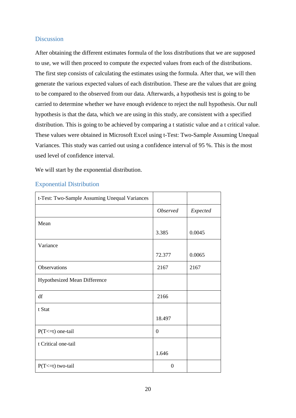## <span id="page-20-0"></span>**Discussion**

After obtaining the different estimates formula of the loss distributions that we are supposed to use, we will then proceed to compute the expected values from each of the distributions. The first step consists of calculating the estimates using the formula. After that, we will then generate the various expected values of each distribution. These are the values that are going to be compared to the observed from our data. Afterwards, a hypothesis test is going to be carried to determine whether we have enough evidence to reject the null hypothesis. Our null hypothesis is that the data, which we are using in this study, are consistent with a specified distribution. This is going to be achieved by comparing a t statistic value and a t critical value. These values were obtained in Microsoft Excel using t-Test: Two-Sample Assuming Unequal Variances. This study was carried out using a confidence interval of 95 %. This is the most used level of confidence interval.

We will start by the exponential distribution.

| t-Test: Two-Sample Assuming Unequal Variances |                 |          |
|-----------------------------------------------|-----------------|----------|
|                                               | <b>Observed</b> | Expected |
| Mean                                          |                 |          |
|                                               | 3.385           | 0.0045   |
| Variance                                      |                 |          |
|                                               | 72.377          | 0.0065   |
| Observations                                  | 2167            | 2167     |
| Hypothesized Mean Difference                  |                 |          |
| df                                            | 2166            |          |
| t Stat                                        |                 |          |
|                                               | 18.497          |          |
| $P(T \le t)$ one-tail                         | $\mathbf{0}$    |          |
| t Critical one-tail                           |                 |          |
|                                               | 1.646           |          |
| $P(T \le t)$ two-tail                         | $\overline{0}$  |          |

## <span id="page-20-1"></span>Exponential Distribution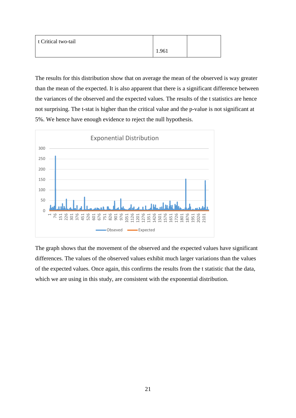| t Critical two-tail |       |  |
|---------------------|-------|--|
|                     | 1.961 |  |

The results for this distribution show that on average the mean of the observed is way greater than the mean of the expected. It is also apparent that there is a significant difference between the variances of the observed and the expected values. The results of the t statistics are hence not surprising. The t-stat is higher than the critical value and the p-value is not significant at 5%. We hence have enough evidence to reject the null hypothesis.



The graph shows that the movement of the observed and the expected values have significant differences. The values of the observed values exhibit much larger variations than the values of the expected values. Once again, this confirms the results from the t statistic that the data, which we are using in this study, are consistent with the exponential distribution.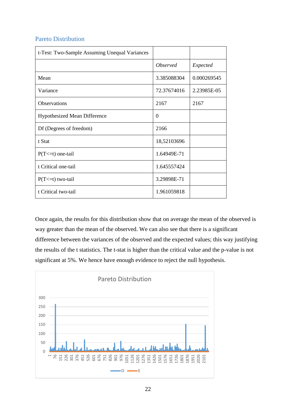## <span id="page-22-0"></span>Pareto Distribution

| t-Test: Two-Sample Assuming Unequal Variances |                        |             |
|-----------------------------------------------|------------------------|-------------|
|                                               | <i><b>Observed</b></i> | Expected    |
| Mean                                          | 3.385088304            | 0.000269545 |
| Variance                                      | 72.37674016            | 2.23985E-05 |
| <b>Observations</b>                           | 2167                   | 2167        |
| <b>Hypothesized Mean Difference</b>           | $\theta$               |             |
| Df (Degrees of freedom)                       | 2166                   |             |
| t Stat                                        | 18,52103696            |             |
| $P(T \le t)$ one-tail                         | 1.64949E-71            |             |
| t Critical one-tail                           | 1.645557424            |             |
| $P(T \le t)$ two-tail                         | 3.29898E-71            |             |
| t Critical two-tail                           | 1.961059818            |             |

Once again, the results for this distribution show that on average the mean of the observed is way greater than the mean of the observed. We can also see that there is a significant difference between the variances of the observed and the expected values; this way justifying the results of the t statistics. The t-stat is higher than the critical value and the p-value is not significant at 5%. We hence have enough evidence to reject the null hypothesis.

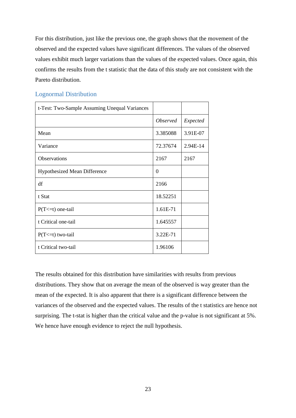For this distribution, just like the previous one, the graph shows that the movement of the observed and the expected values have significant differences. The values of the observed values exhibit much larger variations than the values of the expected values. Once again, this confirms the results from the t statistic that the data of this study are not consistent with the Pareto distribution.

| t-Test: Two-Sample Assuming Unequal Variances |                 |          |
|-----------------------------------------------|-----------------|----------|
|                                               | <b>Observed</b> | Expected |
| Mean                                          | 3.385088        | 3.91E-07 |
| Variance                                      | 72.37674        | 2.94E-14 |
| Observations                                  | 2167            | 2167     |
| <b>Hypothesized Mean Difference</b>           | $\Omega$        |          |
| df                                            | 2166            |          |
| t Stat                                        | 18.52251        |          |
| $P(T \le t)$ one-tail                         | 1.61E-71        |          |
| t Critical one-tail                           | 1.645557        |          |
| $P(T \le t)$ two-tail                         | 3.22E-71        |          |
| t Critical two-tail                           | 1.96106         |          |

### <span id="page-23-0"></span>Lognormal Distribution

The results obtained for this distribution have similarities with results from previous distributions. They show that on average the mean of the observed is way greater than the mean of the expected. It is also apparent that there is a significant difference between the variances of the observed and the expected values. The results of the t statistics are hence not surprising. The t-stat is higher than the critical value and the p-value is not significant at 5%. We hence have enough evidence to reject the null hypothesis.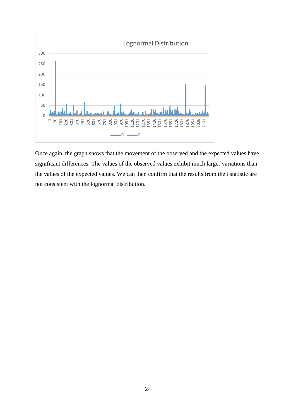

Once again, the graph shows that the movement of the observed and the expected values have significant differences. The values of the observed values exhibit much larger variations than the values of the expected values. We can then confirm that the results from the t statistic are not consistent with the lognormal distribution.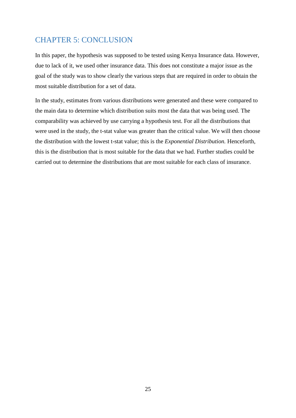## <span id="page-25-0"></span>CHAPTER 5: CONCLUSION

In this paper, the hypothesis was supposed to be tested using Kenya Insurance data. However, due to lack of it, we used other insurance data. This does not constitute a major issue as the goal of the study was to show clearly the various steps that are required in order to obtain the most suitable distribution for a set of data.

In the study, estimates from various distributions were generated and these were compared to the main data to determine which distribution suits most the data that was being used. The comparability was achieved by use carrying a hypothesis test. For all the distributions that were used in the study, the t-stat value was greater than the critical value. We will then choose the distribution with the lowest t-stat value; this is the *Exponential Distribution.* Henceforth, this is the distribution that is most suitable for the data that we had. Further studies could be carried out to determine the distributions that are most suitable for each class of insurance.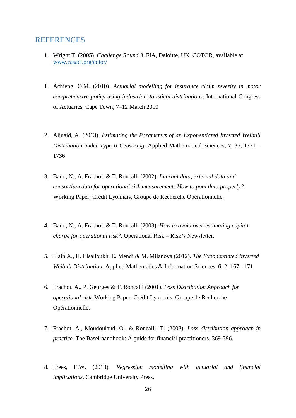## <span id="page-26-0"></span>REFERENCES

- 1. Wright T. (2005). *Challenge Round 3*. FIA, Deloitte, UK. COTOR, available at [www.casact.org/cotor/](http://www.casact.org/cotor/)
- 1. Achieng, O.M. (2010). *Actuarial modelling for insurance claim severity in motor comprehensive policy using industrial statistical distributions*. International Congress of Actuaries, Cape Town, 7–12 March 2010
- 2. Aljuaid, A. (2013). *Estimating the Parameters of an Exponentiated Inverted Weibull Distribution under Type-II Censoring*. Applied Mathematical Sciences, **7**, 35, 1721 – 1736
- 3. Baud, N., A. Frachot, & T. Roncalli (2002). *Internal data, external data and consortium data for operational risk measurement: How to pool data properly?.*  Working Paper, Crédit Lyonnais, Groupe de Recherche Opérationnelle.
- 4. Baud, N., A. Frachot, & T. Roncalli (2003). *How to avoid over-estimating capital charge for operational risk?*. Operational Risk – Risk's Newsletter.
- 5. Flaih A., H. Elsalloukh, E. Mendi & M. Milanova (2012). *The Exponentiated Inverted Weibull Distribution*. Applied Mathematics & Information Sciences, **6**, 2, 167 - 171.
- 6. Frachot, A., P. Georges & T. Roncalli (2001). *Loss Distribution Approach for operational risk*. Working Paper. Crédit Lyonnais, Groupe de Recherche Opérationnelle.
- 7. Frachot, A., Moudoulaud, O., & Roncalli, T. (2003). *Loss distribution approach in practice*. The Basel handbook: A guide for financial practitioners, 369-396.
- 8. Frees, E.W. (2013). *Regression modelling with actuarial and financial implications*. Cambridge University Press.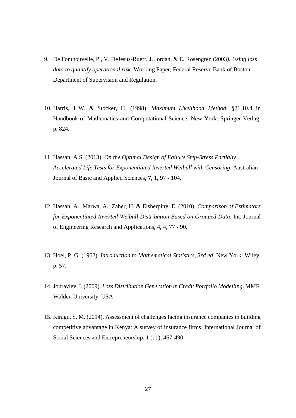- 9. De Fontnouvelle, P., V. DeJesus-Rueff, J. Jordan, & E. Rosengren (2003*). Using loss data to quantify operational risk*. Working Paper, Federal Reserve Bank of Boston, Department of Supervision and Regulation.
- 10. Harris, J. W. & Stocker, H. (1998). *Maximum Likelihood Method*. §21.10.4 in [Handbook of Mathematics and Computational Science.](http://www.amazon.com/exec/obidos/ASIN/0387947469/ref=nosim/ericstreasuretro) New York: Springer-Verlag, p. 824.
- 11. Hassan, A.S. (2013). *On the Optimal Design of Failure Step-Stress Partially Accelerated Life Tests for Exponentiated Inverted Weibull with Censoring*. Australian Journal of Basic and Applied Sciences, **7**, 1, 97 - 104.
- 12. Hassan, A.; Marwa, A.; Zaher, H. & Elsherpiny, E. (2010). *Comparison of Estimators for Exponentiated Inverted Weibull Distribution Based on Grouped Data*. Int. Journal of Engineering Research and Applications, 4, 4, 77 - 90.
- 13. Hoel, P. G. (1962). *Introduction to Mathematical Statistics, 3rd ed.* New York: Wiley, p. 57.
- 14. Jouravlev, I. (2009). *Loss Distribution Generation in Credit Portfolio Modelling*. MMF. Walden University, USA
- 15. Kiragu, S. M. (2014). Assessment of challenges facing insurance companies in building competitive advantage in Kenya: A survey of insurance firms. International Journal of Social Sciences and Entrepreneurship, 1 (11), 467-490.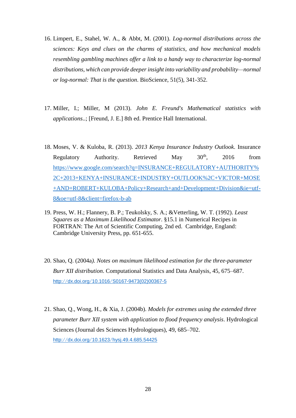- 16. Limpert, E., Stahel, W. A., & Abbt, M. (2001). *Log-normal distributions across the sciences: Keys and clues on the charms of statistics, and how mechanical models resembling gambling machines offer a link to a handy way to characterize log-normal distributions, which can provide deeper insight into variability and probability—normal or log-normal: That is the question*. BioScience, 51(5), 341-352.
- 17. Miller, I.; Miller, M (2013). *John E. Freund's Mathematical statistics with applications*..; [Freund, J. E.] 8th ed. Prentice Hall International.
- 18. Moses, V. & Kuloba, R. (2013). *2013 Kenya Insurance Industry Outlook*. Insurance Regulatory Authority. Retrieved May  $30<sup>th</sup>$ ,  $2016$  from [https://www.google.com/search?q=INSURANCE+REGULATORY+AUTHORITY%](https://www.google.com/search?q=INSURANCE+REGULATORY+AUTHORITY%2C+2013+KENYA+INSURANCE+INDUSTRY+OUTLOOK%2C+VICTOR+MOSE+AND+ROBERT+KULOBA+Policy+Research+and+Development+Division&ie=utf-8&oe=utf-8&client=firefox-b-ab) [2C+2013+KENYA+INSURANCE+INDUSTRY+OUTLOOK%2C+VICTOR+MOSE](https://www.google.com/search?q=INSURANCE+REGULATORY+AUTHORITY%2C+2013+KENYA+INSURANCE+INDUSTRY+OUTLOOK%2C+VICTOR+MOSE+AND+ROBERT+KULOBA+Policy+Research+and+Development+Division&ie=utf-8&oe=utf-8&client=firefox-b-ab) [+AND+ROBERT+KULOBA+Policy+Research+and+Development+Division&ie=utf-](https://www.google.com/search?q=INSURANCE+REGULATORY+AUTHORITY%2C+2013+KENYA+INSURANCE+INDUSTRY+OUTLOOK%2C+VICTOR+MOSE+AND+ROBERT+KULOBA+Policy+Research+and+Development+Division&ie=utf-8&oe=utf-8&client=firefox-b-ab)[8&oe=utf-8&client=firefox-b-ab](https://www.google.com/search?q=INSURANCE+REGULATORY+AUTHORITY%2C+2013+KENYA+INSURANCE+INDUSTRY+OUTLOOK%2C+VICTOR+MOSE+AND+ROBERT+KULOBA+Policy+Research+and+Development+Division&ie=utf-8&oe=utf-8&client=firefox-b-ab)
- 19. Press, W. H.; Flannery, B. P.; Teukolsky, S. A.; &Vetterling, W. T. (1992). *Least Squares as a Maximum Likelihood Estimator*. §15.1 in [Numerical Recipes in](http://www.amazon.com/exec/obidos/ASIN/052143064X/ref=nosim/ericstreasuretro)  [FORTRAN: The Art of Scientific Computing, 2nd ed.](http://www.amazon.com/exec/obidos/ASIN/052143064X/ref=nosim/ericstreasuretro) Cambridge, England: Cambridge University Press, pp. 651-655.
- 20. Shao, Q. (2004a*). Notes on maximum likelihood estimation for the three-parameter Burr XII distribution*. Computational Statistics and Data Analysis, 45, 675–687. http://dx.doi.org/10.1016/[S0167-9473\(02\)00367-5](http://dx.doi.org/10.1016/S0167-9473(02)00367-5)
- 21. Shao, Q., Wong, H., & Xia, J. (2004b). *Models for extremes using the extended three parameter Burr XII system with application to flood frequency analysis*. Hydrological Sciences (Journal des Sciences Hydrologiques), 49, 685–702. http://dx.doi.org/10.1623/[hysj.49.4.685.54425](http://dx.doi.org/10.1623/hysj.49.4.685.54425)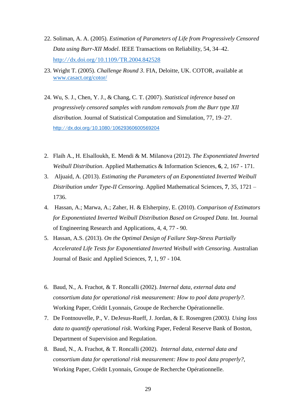- 22. Soliman, A. A. (2005). *Estimation of Parameters of Life from Progressively Censored Data using Burr-XII Model*. IEEE Transactions on Reliability, 54, 34–42. http://dx.doi.org/10.1109/[TR.2004.842528](http://dx.doi.org/10.1109/TR.2004.842528)
- 23. Wright T. (2005). *Challenge Round 3*. FIA, Deloitte, UK. COTOR, available at [www.casact.org/cotor/](http://www.casact.org/cotor/)
- 24. Wu, S. J., Chen, Y. J., & Chang, C. T. (2007). *Statistical inference based on progressively censored samples with random removals from the Burr type XII distribution*. Journal of Statistical Computation and Simulation, 77, 19–27. http://dx.doi.org/10.1080/[10629360600569204](http://dx.doi.org/10.1080/10629360600569204)
- 2. Flaih A., H. Elsalloukh, E. Mendi & M. Milanova (2012). *The Exponentiated Inverted Weibull Distribution*. Applied Mathematics & Information Sciences, **6**, 2, 167 - 171.
- 3. Aljuaid, A. (2013). *Estimating the Parameters of an Exponentiated Inverted Weibull Distribution under Type-II Censoring*. Applied Mathematical Sciences, **7**, 35, 1721 – 1736.
- 4. Hassan, A.; Marwa, A.; Zaher, H. & Elsherpiny, E. (2010). *Comparison of Estimators for Exponentiated Inverted Weibull Distribution Based on Grouped Data*. Int. Journal of Engineering Research and Applications, 4, 4, 77 - 90.
- 5. Hassan, A.S. (2013). *On the Optimal Design of Failure Step-Stress Partially Accelerated Life Tests for Exponentiated Inverted Weibull with Censoring*. Australian Journal of Basic and Applied Sciences, **7**, 1, 97 - 104.
- 6. Baud, N., A. Frachot, & T. Roncalli (2002). *Internal data, external data and consortium data for operational risk measurement: How to pool data properly?.* Working Paper, Crédit Lyonnais, Groupe de Recherche Opérationnelle.
- 7. De Fontnouvelle, P., V. DeJesus-Rueff, J. Jordan, & E. Rosengren (2003*). Using loss data to quantify operational risk*. Working Paper, Federal Reserve Bank of Boston, Department of Supervision and Regulation.
- 8. Baud, N., A. Frachot, & T. Roncalli (2002). *Internal data, external data and consortium data for operational risk measurement: How to pool data properly?*, Working Paper, Crédit Lyonnais, Groupe de Recherche Opérationnelle.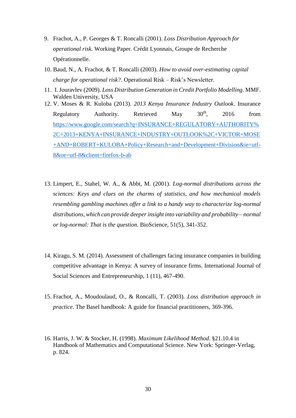- 9. Frachot, A., P. Georges & T. Roncalli (2001). *Loss Distribution Approach for operational risk*. Working Paper. Crédit Lyonnais, Groupe de Recherche Opérationnelle.
- 10. Baud, N., A. Frachot, & T. Roncalli (2003). *How to avoid over-estimating capital charge for operational risk?*. Operational Risk – Risk's Newsletter.
- 11. I. Jouravlev (2009). *Loss Distribution Generation in Credit Portfolio Modelling*. MMF. Walden University, USA
- 12. V. Moses & R. Kuloba (2013). *2013 Kenya Insurance Industry Outlook*. Insurance Regulatory Authority. Retrieved May 30<sup>th</sup>, 2016 from [https://www.google.com/search?q=INSURANCE+REGULATORY+AUTHORITY%](https://www.google.com/search?q=INSURANCE+REGULATORY+AUTHORITY%2C+2013+KENYA+INSURANCE+INDUSTRY+OUTLOOK%2C+VICTOR+MOSE+AND+ROBERT+KULOBA+Policy+Research+and+Development+Division&ie=utf-8&oe=utf-8&client=firefox-b-ab) [2C+2013+KENYA+INSURANCE+INDUSTRY+OUTLOOK%2C+VICTOR+MOSE](https://www.google.com/search?q=INSURANCE+REGULATORY+AUTHORITY%2C+2013+KENYA+INSURANCE+INDUSTRY+OUTLOOK%2C+VICTOR+MOSE+AND+ROBERT+KULOBA+Policy+Research+and+Development+Division&ie=utf-8&oe=utf-8&client=firefox-b-ab) [+AND+ROBERT+KULOBA+Policy+Research+and+Development+Division&ie=utf-](https://www.google.com/search?q=INSURANCE+REGULATORY+AUTHORITY%2C+2013+KENYA+INSURANCE+INDUSTRY+OUTLOOK%2C+VICTOR+MOSE+AND+ROBERT+KULOBA+Policy+Research+and+Development+Division&ie=utf-8&oe=utf-8&client=firefox-b-ab)[8&oe=utf-8&client=firefox-b-ab](https://www.google.com/search?q=INSURANCE+REGULATORY+AUTHORITY%2C+2013+KENYA+INSURANCE+INDUSTRY+OUTLOOK%2C+VICTOR+MOSE+AND+ROBERT+KULOBA+Policy+Research+and+Development+Division&ie=utf-8&oe=utf-8&client=firefox-b-ab)
- 13. Limpert, E., Stahel, W. A., & Abbt, M. (2001). *Log-normal distributions across the sciences: Keys and clues on the charms of statistics, and how mechanical models resembling gambling machines offer a link to a handy way to characterize log-normal distributions, which can provide deeper insight into variability and probability—normal or log-normal: That is the question*. BioScience, 51(5), 341-352.
- 14. Kiragu, S. M. (2014). Assessment of challenges facing insurance companies in building competitive advantage in Kenya: A survey of insurance firms. International Journal of Social Sciences and Entrepreneurship, 1 (11), 467-490.
- 15. Frachot, A., Moudoulaud, O., & Roncalli, T. (2003). *Loss distribution approach in practice*. The Basel handbook: A guide for financial practitioners, 369-396.
- 16. Harris, J. W. & Stocker, H. (1998). *Maximum Likelihood Method*. §21.10.4 in [Handbook of Mathematics and Computational Science.](http://www.amazon.com/exec/obidos/ASIN/0387947469/ref=nosim/ericstreasuretro) New York: Springer-Verlag, p. 824.